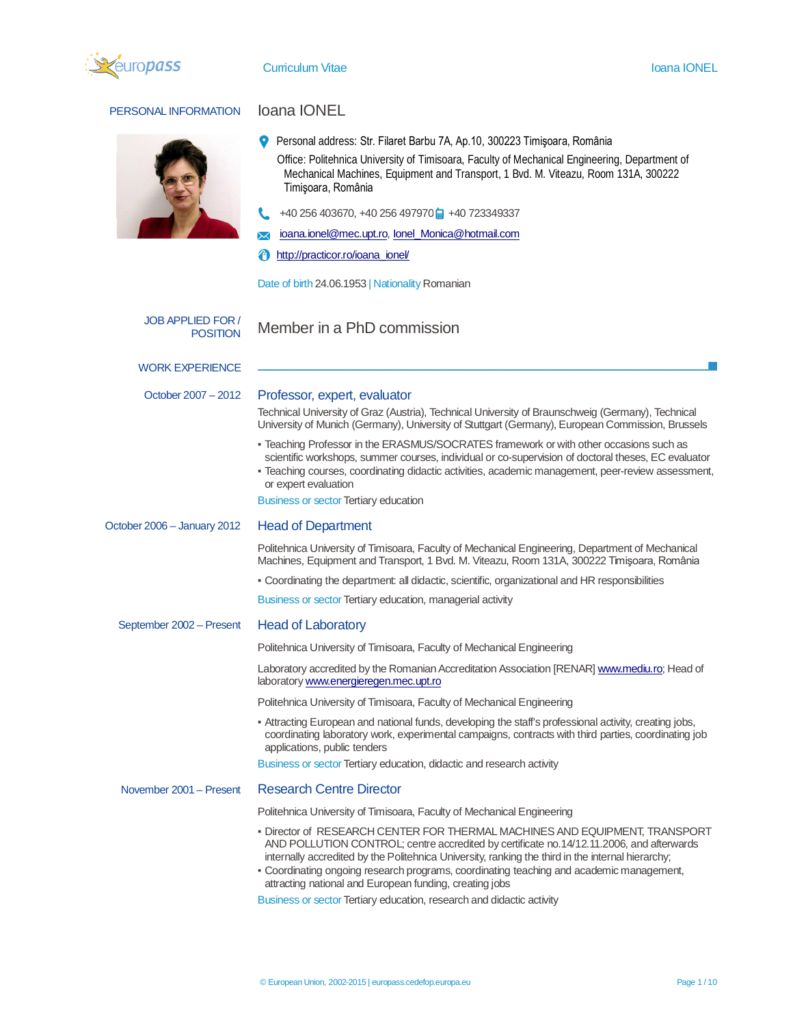

# PERSONAL INFORMATION **loana IONEL**



- Personal address: Str. Filaret Barbu 7A, Ap.10, 300223 Timişoara, România Office: Politehnica University of Timisoara, Faculty of Mechanical Engineering, Department of Mechanical Machines, Equipment and Transport, 1 Bvd. M. Viteazu, Room 131A, 300222 Timişoara, România
- $\leftarrow$  +40 256 403670, +40 256 497970  $\rightleftarrow$  +40 723349337
- ioana.ionel@mec.upt.ro, Ionel\_Monica@hotmail.com  $\boxtimes$

http://practicor.ro/ioana\_ionel/

Date of birth 24.06.1953 | Nationality Romanian

| <b>JOB APPLIED FOR /</b><br><b>POSITION</b> | Member in a PhD commission                                                                                                                                                                                                                                                                                                                                                                                                          |
|---------------------------------------------|-------------------------------------------------------------------------------------------------------------------------------------------------------------------------------------------------------------------------------------------------------------------------------------------------------------------------------------------------------------------------------------------------------------------------------------|
| <b>WORK EXPERIENCE</b>                      |                                                                                                                                                                                                                                                                                                                                                                                                                                     |
| October 2007 - 2012                         | Professor, expert, evaluator                                                                                                                                                                                                                                                                                                                                                                                                        |
|                                             | Technical University of Graz (Austria), Technical University of Braunschweig (Germany), Technical<br>University of Munich (Germany), University of Stuttgart (Germany), European Commission, Brussels                                                                                                                                                                                                                               |
|                                             | - Teaching Professor in the ERASMUS/SOCRATES framework or with other occasions such as<br>scientific workshops, summer courses, individual or co-supervision of doctoral theses, EC evaluator<br>- Teaching courses, coordinating didactic activities, academic management, peer-review assessment,<br>or expert evaluation                                                                                                         |
|                                             | <b>Business or sector Tertiary education</b>                                                                                                                                                                                                                                                                                                                                                                                        |
| October 2006 - January 2012                 | <b>Head of Department</b>                                                                                                                                                                                                                                                                                                                                                                                                           |
|                                             | Politehnica University of Timisoara, Faculty of Mechanical Engineering, Department of Mechanical<br>Machines, Equipment and Transport, 1 Bvd. M. Viteazu, Room 131A, 300222 Timișoara, România                                                                                                                                                                                                                                      |
|                                             | - Coordinating the department: all didactic, scientific, organizational and HR responsibilities                                                                                                                                                                                                                                                                                                                                     |
|                                             | Business or sector Tertiary education, managerial activity                                                                                                                                                                                                                                                                                                                                                                          |
| September 2002 - Present                    | <b>Head of Laboratory</b>                                                                                                                                                                                                                                                                                                                                                                                                           |
|                                             | Politehnica University of Timisoara, Faculty of Mechanical Engineering                                                                                                                                                                                                                                                                                                                                                              |
|                                             | Laboratory accredited by the Romanian Accreditation Association [RENAR] www.mediu.ro; Head of<br>laboratory www.energieregen.mec.upt.ro                                                                                                                                                                                                                                                                                             |
|                                             | Politehnica University of Timisoara, Faculty of Mechanical Engineering                                                                                                                                                                                                                                                                                                                                                              |
|                                             | - Attracting European and national funds, developing the staff's professional activity, creating jobs,<br>coordinating laboratory work, experimental campaigns, contracts with third parties, coordinating job<br>applications, public tenders                                                                                                                                                                                      |
|                                             | Business or sector Tertiary education, didactic and research activity                                                                                                                                                                                                                                                                                                                                                               |
| November 2001 - Present                     | <b>Research Centre Director</b>                                                                                                                                                                                                                                                                                                                                                                                                     |
|                                             | Politehnica University of Timisoara, Faculty of Mechanical Engineering                                                                                                                                                                                                                                                                                                                                                              |
|                                             | - Director of RESEARCH CENTER FOR THERMAL MACHINES AND EQUIPMENT, TRANSPORT<br>AND POLLUTION CONTROL; centre accredited by certificate no.14/12.11.2006, and afterwards<br>internally accredited by the Politehnica University, ranking the third in the internal hierarchy;<br>- Coordinating ongoing research programs, coordinating teaching and academic management,<br>attracting national and European funding, creating jobs |
|                                             | Business or sector Tertiary education, research and didactic activity                                                                                                                                                                                                                                                                                                                                                               |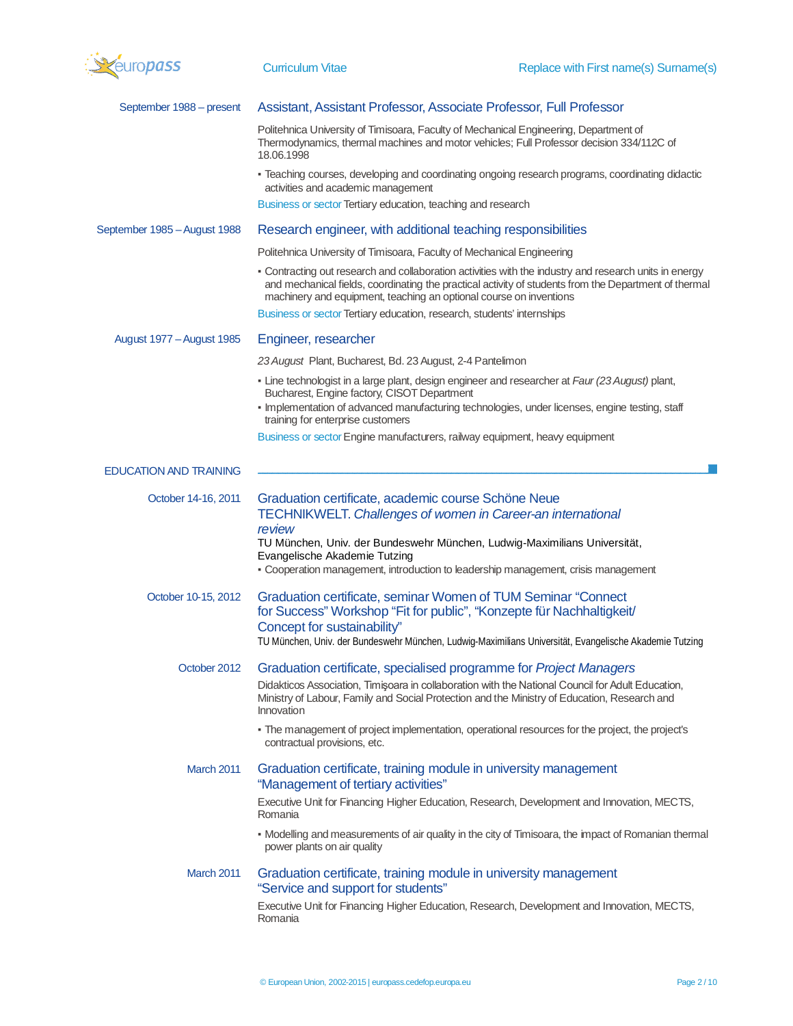

| September 1988 – present      | Assistant, Assistant Professor, Associate Professor, Full Professor                                                                                                                                                                                                                                                                     |
|-------------------------------|-----------------------------------------------------------------------------------------------------------------------------------------------------------------------------------------------------------------------------------------------------------------------------------------------------------------------------------------|
|                               | Politehnica University of Timisoara, Faculty of Mechanical Engineering, Department of<br>Thermodynamics, thermal machines and motor vehicles; Full Professor decision 334/112C of<br>18.06.1998                                                                                                                                         |
|                               | - Teaching courses, developing and coordinating ongoing research programs, coordinating didactic<br>activities and academic management                                                                                                                                                                                                  |
|                               | Business or sector Tertiary education, teaching and research                                                                                                                                                                                                                                                                            |
| September 1985 - August 1988  | Research engineer, with additional teaching responsibilities                                                                                                                                                                                                                                                                            |
|                               | Politehnica University of Timisoara, Faculty of Mechanical Engineering                                                                                                                                                                                                                                                                  |
|                               | - Contracting out research and collaboration activities with the industry and research units in energy<br>and mechanical fields, coordinating the practical activity of students from the Department of thermal<br>machinery and equipment, teaching an optional course on inventions                                                   |
|                               | Business or sector Tertiary education, research, students' internships                                                                                                                                                                                                                                                                  |
| August 1977 - August 1985     | Engineer, researcher                                                                                                                                                                                                                                                                                                                    |
|                               | 23 August Plant, Bucharest, Bd. 23 August, 2-4 Pantelimon                                                                                                                                                                                                                                                                               |
|                               | - Line technologist in a large plant, design engineer and researcher at Faur (23 August) plant,<br>Bucharest, Engine factory, CISOT Department<br>- Implementation of advanced manufacturing technologies, under licenses, engine testing, staff<br>training for enterprise customers                                                   |
|                               | Business or sector Engine manufacturers, railway equipment, heavy equipment                                                                                                                                                                                                                                                             |
|                               |                                                                                                                                                                                                                                                                                                                                         |
| <b>EDUCATION AND TRAINING</b> |                                                                                                                                                                                                                                                                                                                                         |
| October 14-16, 2011           | Graduation certificate, academic course Schöne Neue<br><b>TECHNIKWELT.</b> Challenges of women in Career-an international<br>review<br>TU München, Univ. der Bundeswehr München, Ludwig-Maximilians Universität,<br>Evangelische Akademie Tutzing<br>- Cooperation management, introduction to leadership management, crisis management |
| October 10-15, 2012           | Graduation certificate, seminar Women of TUM Seminar "Connect"<br>for Success" Workshop "Fit for public", "Konzepte für Nachhaltigkeit/<br>Concept for sustainability"<br>TU München, Univ. der Bundeswehr München, Ludwig-Maximilians Universität, Evangelische Akademie Tutzing                                                       |
| October 2012                  | Graduation certificate, specialised programme for Project Managers                                                                                                                                                                                                                                                                      |
|                               | Didakticos Association, Timișoara in collaboration with the National Council for Adult Education,<br>Ministry of Labour, Family and Social Protection and the Ministry of Education, Research and<br>Innovation                                                                                                                         |
|                               | - The management of project implementation, operational resources for the project, the project's<br>contractual provisions, etc.                                                                                                                                                                                                        |
| March 2011                    | Graduation certificate, training module in university management<br>"Management of tertiary activities"                                                                                                                                                                                                                                 |
|                               | Executive Unit for Financing Higher Education, Research, Development and Innovation, MECTS,<br>Romania                                                                                                                                                                                                                                  |
|                               | - Modelling and measurements of air quality in the city of Timisoara, the impact of Romanian thermal<br>power plants on air quality                                                                                                                                                                                                     |
| March 2011                    | Graduation certificate, training module in university management<br>"Service and support for students"                                                                                                                                                                                                                                  |
|                               | Executive Unit for Financing Higher Education, Research, Development and Innovation, MECTS,<br>Romania                                                                                                                                                                                                                                  |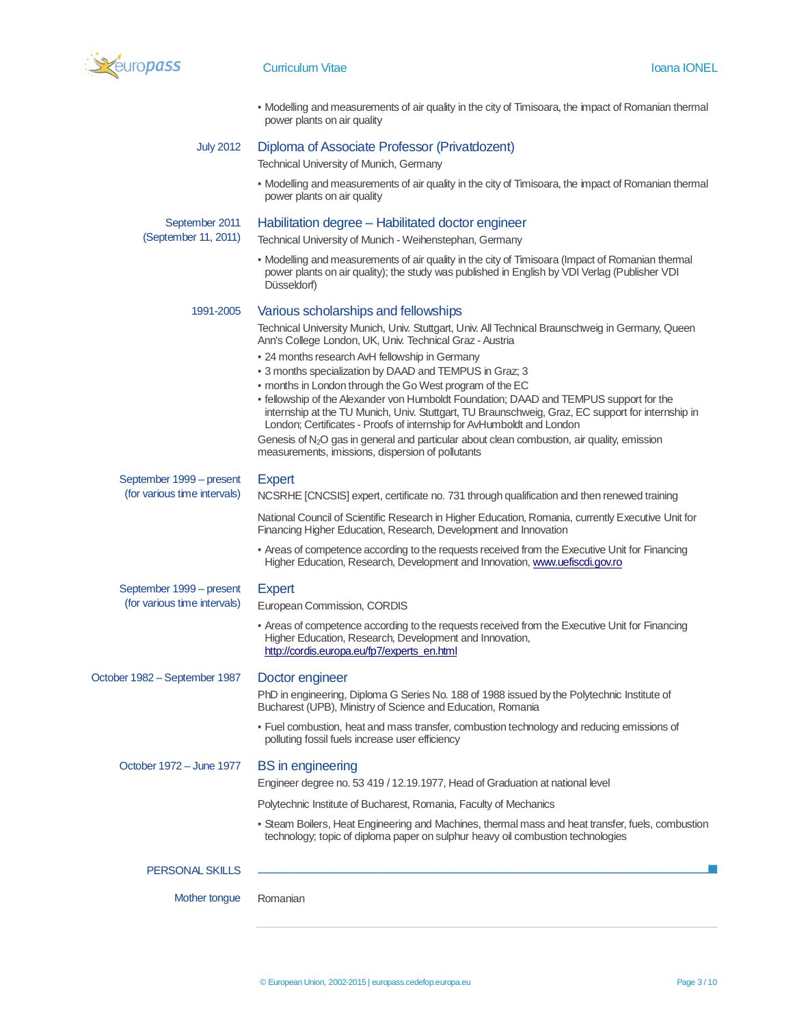

|                               | • Modelling and measurements of air quality in the city of Timisoara, the impact of Romanian thermal<br>power plants on air quality                                                                                                                                  |
|-------------------------------|----------------------------------------------------------------------------------------------------------------------------------------------------------------------------------------------------------------------------------------------------------------------|
| <b>July 2012</b>              | Diploma of Associate Professor (Privatdozent)                                                                                                                                                                                                                        |
|                               | Technical University of Munich, Germany                                                                                                                                                                                                                              |
|                               | - Modelling and measurements of air quality in the city of Timisoara, the impact of Romanian thermal<br>power plants on air quality                                                                                                                                  |
| September 2011                | Habilitation degree - Habilitated doctor engineer                                                                                                                                                                                                                    |
| (September 11, 2011)          | Technical University of Munich - Weihenstephan, Germany                                                                                                                                                                                                              |
|                               | - Modelling and measurements of air quality in the city of Timisoara (Impact of Romanian thermal<br>power plants on air quality); the study was published in English by VDI Verlag (Publisher VDI<br>Düsseldorf)                                                     |
| 1991-2005                     | Various scholarships and fellowships                                                                                                                                                                                                                                 |
|                               | Technical University Munich, Univ. Stuttgart, Univ. All Technical Braunschweig in Germany, Queen<br>Ann's College London, UK, Univ. Technical Graz - Austria                                                                                                         |
|                               | - 24 months research AvH fellowship in Germany                                                                                                                                                                                                                       |
|                               | - 3 months specialization by DAAD and TEMPUS in Graz; 3<br>- months in London through the Go West program of the EC                                                                                                                                                  |
|                               | - fellowship of the Alexander von Humboldt Foundation; DAAD and TEMPUS support for the<br>internship at the TU Munich, Univ. Stuttgart, TU Braunschweig, Graz, EC support for internship in<br>London; Certificates - Proofs of internship for AvHumboldt and London |
|                               | Genesis of $N_2O$ gas in general and particular about clean combustion, air quality, emission<br>measurements, imissions, dispersion of pollutants                                                                                                                   |
| September 1999 – present      | <b>Expert</b>                                                                                                                                                                                                                                                        |
| (for various time intervals)  | NCSRHE [CNCSIS] expert, certificate no. 731 through qualification and then renewed training                                                                                                                                                                          |
|                               | National Council of Scientific Research in Higher Education, Romania, currently Executive Unit for<br>Financing Higher Education, Research, Development and Innovation                                                                                               |
|                               | - Areas of competence according to the requests received from the Executive Unit for Financing<br>Higher Education, Research, Development and Innovation, www.uefiscdi.gov.ro                                                                                        |
| September 1999 – present      | <b>Expert</b>                                                                                                                                                                                                                                                        |
| (for various time intervals)  | European Commission, CORDIS                                                                                                                                                                                                                                          |
|                               | - Areas of competence according to the requests received from the Executive Unit for Financing<br>Higher Education, Research, Development and Innovation,<br>http://cordis.europa.eu/fp7/experts_en.html                                                             |
| October 1982 - September 1987 | Doctor engineer                                                                                                                                                                                                                                                      |
|                               | PhD in engineering, Diploma G Series No. 188 of 1988 issued by the Polytechnic Institute of<br>Bucharest (UPB), Ministry of Science and Education, Romania                                                                                                           |
|                               | - Fuel combustion, heat and mass transfer, combustion technology and reducing emissions of<br>polluting fossil fuels increase user efficiency                                                                                                                        |
| October 1972 - June 1977      | <b>BS</b> in engineering                                                                                                                                                                                                                                             |
|                               | Engineer degree no. 53 419 / 12.19.1977, Head of Graduation at national level                                                                                                                                                                                        |
|                               | Polytechnic Institute of Bucharest, Romania, Faculty of Mechanics                                                                                                                                                                                                    |
|                               | - Steam Boilers, Heat Engineering and Machines, thermal mass and heat transfer, fuels, combustion<br>technology; topic of diploma paper on sulphur heavy oil combustion technologies                                                                                 |
| <b>PERSONAL SKILLS</b>        |                                                                                                                                                                                                                                                                      |
| Mother tongue                 | Romanian                                                                                                                                                                                                                                                             |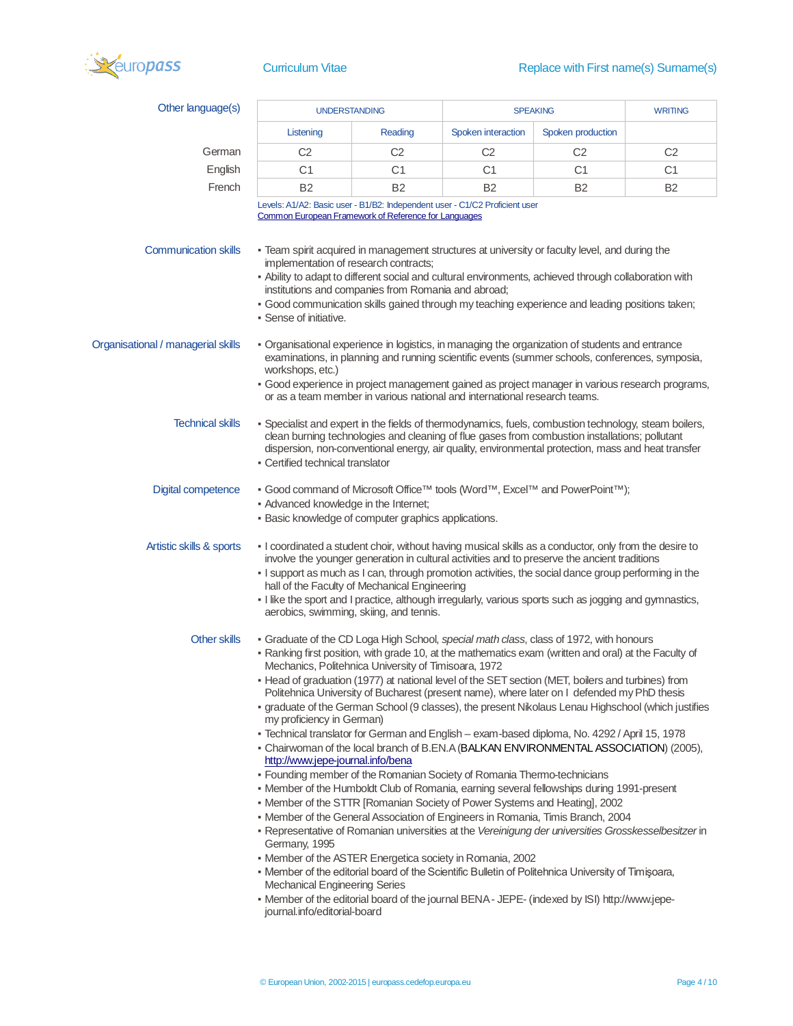

| Other language(s)                  | <b>UNDERSTANDING</b>                                                                                                                                                                                                                                                                                                                                                                                                                                                                                                                                                                                                                                                                                                                                                                                                                                                                                                                                                                                                                                                                                                                                                                                                                                                                                                                                                                                                                                                                  |                                                                                          | <b>SPEAKING</b>           |                                                                                                                                                                                                      | <b>WRITING</b> |
|------------------------------------|---------------------------------------------------------------------------------------------------------------------------------------------------------------------------------------------------------------------------------------------------------------------------------------------------------------------------------------------------------------------------------------------------------------------------------------------------------------------------------------------------------------------------------------------------------------------------------------------------------------------------------------------------------------------------------------------------------------------------------------------------------------------------------------------------------------------------------------------------------------------------------------------------------------------------------------------------------------------------------------------------------------------------------------------------------------------------------------------------------------------------------------------------------------------------------------------------------------------------------------------------------------------------------------------------------------------------------------------------------------------------------------------------------------------------------------------------------------------------------------|------------------------------------------------------------------------------------------|---------------------------|------------------------------------------------------------------------------------------------------------------------------------------------------------------------------------------------------|----------------|
|                                    | Listening                                                                                                                                                                                                                                                                                                                                                                                                                                                                                                                                                                                                                                                                                                                                                                                                                                                                                                                                                                                                                                                                                                                                                                                                                                                                                                                                                                                                                                                                             | Reading                                                                                  | <b>Spoken interaction</b> | Spoken production                                                                                                                                                                                    |                |
| German                             | C <sub>2</sub>                                                                                                                                                                                                                                                                                                                                                                                                                                                                                                                                                                                                                                                                                                                                                                                                                                                                                                                                                                                                                                                                                                                                                                                                                                                                                                                                                                                                                                                                        | C <sub>2</sub>                                                                           | C <sub>2</sub>            | C <sub>2</sub>                                                                                                                                                                                       | C <sub>2</sub> |
| English                            | C1                                                                                                                                                                                                                                                                                                                                                                                                                                                                                                                                                                                                                                                                                                                                                                                                                                                                                                                                                                                                                                                                                                                                                                                                                                                                                                                                                                                                                                                                                    | C1                                                                                       | C1                        | C <sub>1</sub>                                                                                                                                                                                       | C1             |
| French                             | <b>B2</b>                                                                                                                                                                                                                                                                                                                                                                                                                                                                                                                                                                                                                                                                                                                                                                                                                                                                                                                                                                                                                                                                                                                                                                                                                                                                                                                                                                                                                                                                             | <b>B2</b>                                                                                | <b>B2</b>                 | B <sub>2</sub>                                                                                                                                                                                       | <b>B2</b>      |
|                                    | Levels: A1/A2: Basic user - B1/B2: Independent user - C1/C2 Proficient user<br>Common European Framework of Reference for Languages                                                                                                                                                                                                                                                                                                                                                                                                                                                                                                                                                                                                                                                                                                                                                                                                                                                                                                                                                                                                                                                                                                                                                                                                                                                                                                                                                   |                                                                                          |                           |                                                                                                                                                                                                      |                |
| <b>Communication skills</b>        | - Team spirit acquired in management structures at university or faculty level, and during the<br>implementation of research contracts;<br>- Ability to adapt to different social and cultural environments, achieved through collaboration with<br>- Good communication skills gained through my teaching experience and leading positions taken;<br>• Sense of initiative.                                                                                                                                                                                                                                                                                                                                                                                                                                                                                                                                                                                                                                                                                                                                                                                                                                                                                                                                                                                                                                                                                                          | institutions and companies from Romania and abroad;                                      |                           |                                                                                                                                                                                                      |                |
| Organisational / managerial skills | - Organisational experience in logistics, in managing the organization of students and entrance<br>workshops, etc.)<br>- Good experience in project management gained as project manager in various research programs,                                                                                                                                                                                                                                                                                                                                                                                                                                                                                                                                                                                                                                                                                                                                                                                                                                                                                                                                                                                                                                                                                                                                                                                                                                                                | or as a team member in various national and international research teams.                |                           | examinations, in planning and running scientific events (summer schools, conferences, symposia,                                                                                                      |                |
| <b>Technical skills</b>            | - Specialist and expert in the fields of thermodynamics, fuels, combustion technology, steam boilers,<br>• Certified technical translator                                                                                                                                                                                                                                                                                                                                                                                                                                                                                                                                                                                                                                                                                                                                                                                                                                                                                                                                                                                                                                                                                                                                                                                                                                                                                                                                             |                                                                                          |                           | clean burning technologies and cleaning of flue gases from combustion installations; pollutant<br>dispersion, non-conventional energy, air quality, environmental protection, mass and heat transfer |                |
| <b>Digital competence</b>          | ■ Good command of Microsoft Office <sup>™</sup> tools (Word™, Excel™ and PowerPoint™);<br>- Advanced knowledge in the Internet;<br>- Basic knowledge of computer graphics applications.                                                                                                                                                                                                                                                                                                                                                                                                                                                                                                                                                                                                                                                                                                                                                                                                                                                                                                                                                                                                                                                                                                                                                                                                                                                                                               |                                                                                          |                           |                                                                                                                                                                                                      |                |
| Artistic skills & sports           | - I coordinated a student choir, without having musical skills as a conductor, only from the desire to<br>- I support as much as I can, through promotion activities, the social dance group performing in the<br>- I like the sport and I practice, although irregularly, various sports such as jogging and gymnastics,                                                                                                                                                                                                                                                                                                                                                                                                                                                                                                                                                                                                                                                                                                                                                                                                                                                                                                                                                                                                                                                                                                                                                             | hall of the Faculty of Mechanical Engineering<br>aerobics, swimming, skiing, and tennis. |                           | involve the younger generation in cultural activities and to preserve the ancient traditions                                                                                                         |                |
| Other skills                       | - Graduate of the CD Loga High School, special math class, class of 1972, with honours<br>- Ranking first position, with grade 10, at the mathematics exam (written and oral) at the Faculty of<br>- Head of graduation (1977) at national level of the SET section (MET, boilers and turbines) from<br>- graduate of the German School (9 classes), the present Nikolaus Lenau Highschool (which justifies<br>my proficiency in German)<br>- Technical translator for German and English - exam-based diploma, No. 4292 / April 15, 1978<br>- Chairwoman of the local branch of B.EN.A (BALKAN ENVIRONMENTAL ASSOCIATION) (2005),<br>http://www.jepe-journal.info/bena<br>- Founding member of the Romanian Society of Romania Thermo-technicians<br>- Member of the Humboldt Club of Romania, earning several fellowships during 1991-present<br>- Member of the STTR [Romanian Society of Power Systems and Heating], 2002<br>- Member of the General Association of Engineers in Romania, Timis Branch, 2004<br>- Representative of Romanian universities at the Vereinigung der universities Grosskesselbesitzer in<br>Germany, 1995<br>- Member of the ASTER Energetica society in Romania, 2002<br>- Member of the editorial board of the Scientific Bulletin of Politehnica University of Timisoara,<br><b>Mechanical Engineering Series</b><br>- Member of the editorial board of the journal BENA - JEPE- (indexed by ISI) http://www.jepe-<br>journal.info/editorial-board | Mechanics, Politehnica University of Timisoara, 1972                                     |                           | Politehnica University of Bucharest (present name), where later on I defended my PhD thesis                                                                                                          |                |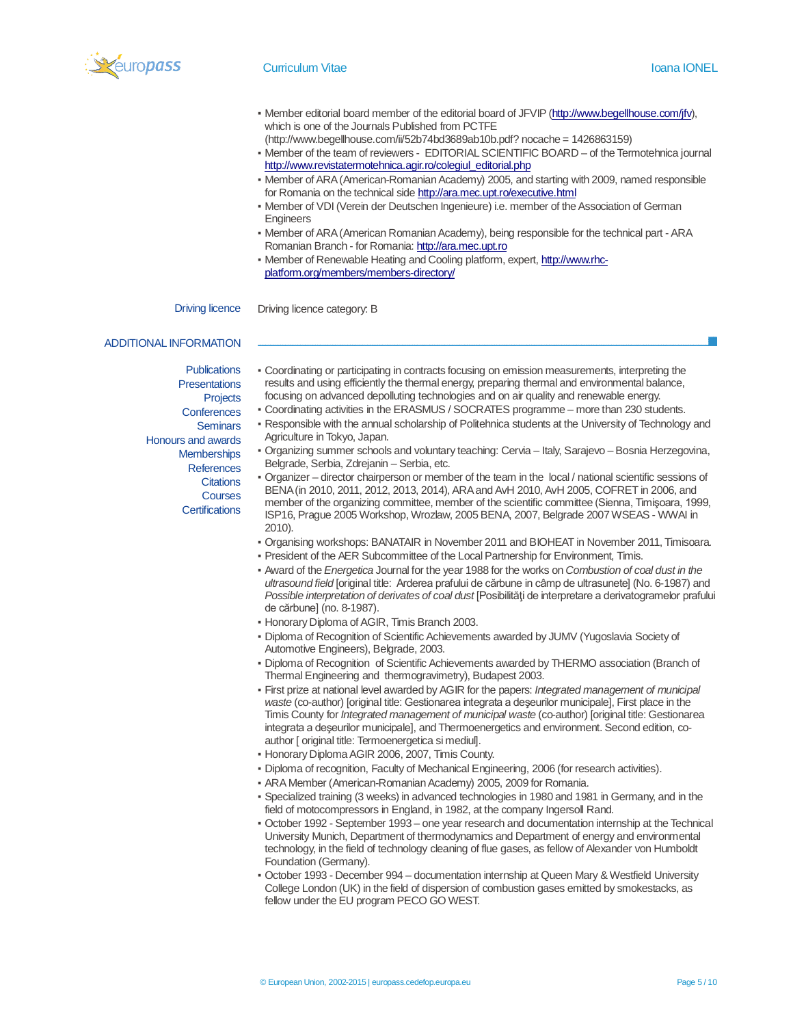

- Member editorial board member of the editorial board of JFVIP (http://www.begellhouse.com/jfv), which is one of the Journals Published from PCTFE
	- (http://www.begellhouse.com/ii/52b74bd3689ab10b.pdf? nocache = 1426863159)
- Member of the team of reviewers EDITORIAL SCIENTIFIC BOARD of the Termotehnica journal http://www.revistatermotehnica.agir.ro/colegiul\_editorial.php
- Member of ARA (American-Romanian Academy) 2005, and starting with 2009, named responsible for Romania on the technical side http://ara.mec.upt.ro/executive.html
- Member of VDI (Verein der Deutschen Ingenieure) i.e. member of the Association of German **Engineers**
- Member of ARA (American Romanian Academy), being responsible for the technical part ARA Romanian Branch - for Romania: http://ara.mec.upt.ro
- Member of Renewable Heating and Cooling platform, expert, http://www.rhcplatform.org/members/members-directory/

Driving licence Driving licence category: B

#### ADDITIONAL INFORMATION

**Publications Presentations Projects Conferences Seminars** Honours and awards **Memberships References Citations Courses Certifications** 

- Coordinating or participating in contracts focusing on emission measurements, interpreting the results and using efficiently the thermal energy, preparing thermal and environmental balance, focusing on advanced depolluting technologies and on air quality and renewable energy.
- Coordinating activities in the ERASMUS / SOCRATES programme more than 230 students.
- Responsible with the annual scholarship of Politehnica students at the University of Technology and Agriculture in Tokyo, Japan.
- Organizing summer schools and voluntary teaching: Cervia Italy, Sarajevo Bosnia Herzegovina, Belgrade, Serbia, Zdrejanin – Serbia, etc.

▪ Organizer – director chairperson or member of the team in the local / national scientific sessions of BENA (in 2010, 2011, 2012, 2013, 2014), ARA and AvH 2010, AvH 2005, COFRET in 2006, and member of the organizing committee, member of the scientific committee (Sienna, Timişoara, 1999, ISP16, Prague 2005 Workshop, Wrozlaw, 2005 BENA, 2007, Belgrade 2007 WSEAS - WWAI in 2010).

- Organising workshops: BANATAIR in November 2011 and BIOHEAT in November 2011, Timisoara.
- President of the AER Subcommittee of the Local Partnership for Environment, Timis.
- Award of the *Energetica* Journal for the year 1988 for the works on *Combustion of coal dust in the ultrasound field* [original title: Arderea prafului de cărbune in câmp de ultrasunete] (No. 6-1987) and *Possible interpretation of derivates of coal dust* [Posibilităţi de interpretare a derivatogramelor prafului de cărbune] (no. 8-1987).
- Honorary Diploma of AGIR, Timis Branch 2003.
- Diploma of Recognition of Scientific Achievements awarded by JUMV (Yugoslavia Society of Automotive Engineers), Belgrade, 2003.
- Diploma of Recognition of Scientific Achievements awarded by THERMO association (Branch of Thermal Engineering and thermogravimetry), Budapest 2003.
- First prize at national level awarded by AGIR for the papers: *Integrated management of municipal waste* (co-author) [original title: Gestionarea integrata a deşeurilor municipale], First place in the Timis County for *Integrated management of municipal waste* (co-author) [original title: Gestionarea integrata a deşeurilor municipale], and Thermoenergetics and environment. Second edition, coauthor [ original title: Termoenergetica si mediul].
- Honorary Diploma AGIR 2006, 2007, Timis County.
- Diploma of recognition, Faculty of Mechanical Engineering, 2006 (for research activities).
- ARA Member (American-Romanian Academy) 2005, 2009 for Romania.
- Specialized training (3 weeks) in advanced technologies in 1980 and 1981 in Germany, and in the field of motocompressors in England, in 1982, at the company Ingersoll Rand.
- October 1992 September 1993 one year research and documentation internship at the Technical University Munich, Department of thermodynamics and Department of energy and environmental technology, in the field of technology cleaning of flue gases, as fellow of Alexander von Humboldt Foundation (Germany).
- October 1993 December 994 documentation internship at Queen Mary & Westfield University College London (UK) in the field of dispersion of combustion gases emitted by smokestacks, as fellow under the EU program PECO GO WEST.

© European Union, 2002-2015 | europass.cedefop.europa.eu Page 5 / 10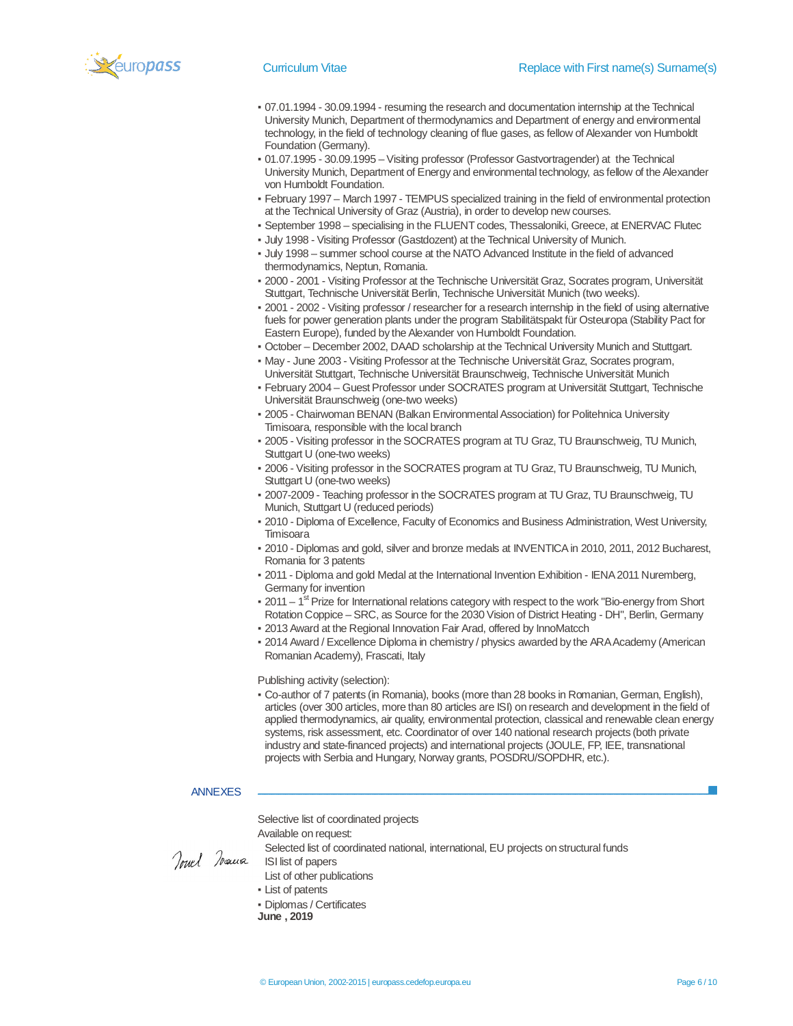

- 07.01.1994 30.09.1994 resuming the research and documentation internship at the Technical University Munich, Department of thermodynamics and Department of energy and environmental technology, in the field of technology cleaning of flue gases, as fellow of Alexander von Humboldt Foundation (Germany).
- 01.07.1995 30.09.1995 Visiting professor (Professor Gastvortragender) at the Technical University Munich, Department of Energy and environmental technology, as fellow of the Alexander von Humboldt Foundation.
- February 1997 March 1997 TEMPUS specialized training in the field of environmental protection at the Technical University of Graz (Austria), in order to develop new courses.
- September 1998 specialising in the FLUENT codes, Thessaloniki, Greece, at ENERVAC Flutec
- July 1998 Visiting Professor (Gastdozent) at the Technical University of Munich.
- July 1998 summer school course at the NATO Advanced Institute in the field of advanced thermodynamics, Neptun, Romania.
- 2000 2001 Visiting Professor at the Technische Universität Graz, Socrates program, Universität Stuttgart, Technische Universität Berlin, Technische Universität Munich (two weeks).
- 2001 2002 Visiting professor / researcher for a research internship in the field of using alternative fuels for power generation plants under the program Stabilitätspakt für Osteuropa (Stability Pact for Eastern Europe), funded by the Alexander von Humboldt Foundation.
- October December 2002, DAAD scholarship at the Technical University Munich and Stuttgart.
- May June 2003 Visiting Professor at the Technische Universität Graz, Socrates program, Universität Stuttgart, Technische Universität Braunschweig, Technische Universität Munich
- February 2004 Guest Professor under SOCRATES program at Universität Stuttgart, Technische Universität Braunschweig (one-two weeks)
- **2005 Chairwoman BENAN (Balkan Environmental Association) for Politehnica University** Timisoara, responsible with the local branch
- 2005 Visiting professor in the SOCRATES program at TU Graz, TU Braunschweig, TU Munich, Stuttgart U (one-two weeks)
- 2006 Visiting professor in the SOCRATES program at TU Graz, TU Braunschweig, TU Munich, Stuttgart U (one-two weeks)
- 2007-2009 Teaching professor in the SOCRATES program at TU Graz, TU Braunschweig, TU Munich, Stuttgart U (reduced periods)
- 2010 Diploma of Excellence, Faculty of Economics and Business Administration, West University, **Timisoara**
- 2010 Diplomas and gold, silver and bronze medals at INVENTICA in 2010, 2011, 2012 Bucharest, Romania for 3 patents
- 2011 Diploma and gold Medal at the International Invention Exhibition IENA 2011 Nuremberg, Germany for invention
- 2011 1<sup>st</sup> Prize for International relations category with respect to the work "Bio-energy from Short Rotation Coppice – SRC, as Source for the 2030 Vision of District Heating - DH", Berlin, Germany
- 2013 Award at the Regional Innovation Fair Arad, offered by InnoMatcch
- 2014 Award / Excellence Diploma in chemistry / physics awarded by the ARA Academy (American Romanian Academy), Frascati, Italy

Publishing activity (selection):

▪ Co-author of 7 patents (in Romania), books (more than 28 books in Romanian, German, English), articles (over 300 articles, more than 80 articles are ISI) on research and development in the field of applied thermodynamics, air quality, environmental protection, classical and renewable clean energy systems, risk assessment, etc. Coordinator of over 140 national research projects (both private industry and state-financed projects) and international projects (JOULE, FP, IEE, transnational projects with Serbia and Hungary, Norway grants, POSDRU/SOPDHR, etc.).

#### ANNEXES

Selective list of coordinated projects

Available on request:

Selected list of coordinated national, international, EU projects on structural funds *<u>Powerfor the Selected list of clearn</u>ed <i>Read* ISI list of papers

- 
- List of other publications
- List of patents
- Diplomas / Certificates
- **June , 2019**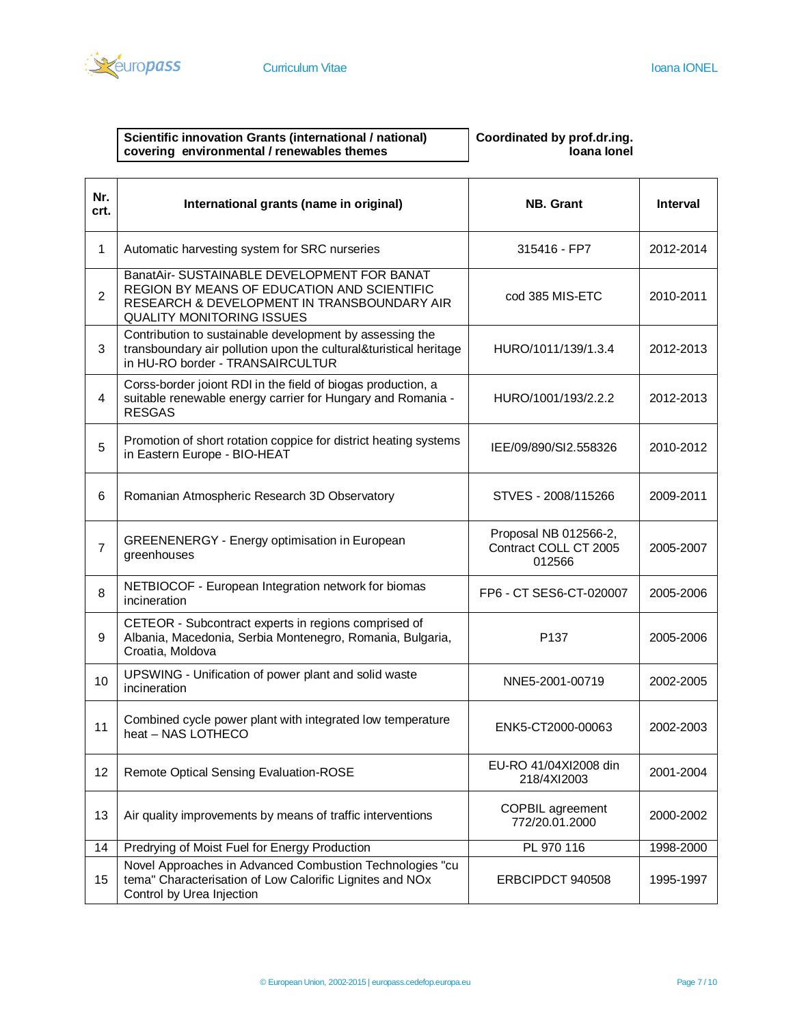

### **Scientific innovation Grants (international / national) covering environmental / renewables themes**

## **Coordinated by prof.dr.ing. Ioana Ionel**

| Nr.<br>crt.    | International grants (name in original)                                                                                                                                       | <b>NB.</b> Grant                                         | <b>Interval</b> |
|----------------|-------------------------------------------------------------------------------------------------------------------------------------------------------------------------------|----------------------------------------------------------|-----------------|
| 1              | Automatic harvesting system for SRC nurseries                                                                                                                                 | 315416 - FP7                                             | 2012-2014       |
| $\overline{2}$ | BanatAir- SUSTAINABLE DEVELOPMENT FOR BANAT<br>REGION BY MEANS OF EDUCATION AND SCIENTIFIC<br>RESEARCH & DEVELOPMENT IN TRANSBOUNDARY AIR<br><b>QUALITY MONITORING ISSUES</b> | cod 385 MIS-ETC                                          | 2010-2011       |
| 3              | Contribution to sustainable development by assessing the<br>transboundary air pollution upon the cultural&turistical heritage<br>in HU-RO border - TRANSAIRCULTUR             | HURO/1011/139/1.3.4                                      | 2012-2013       |
| 4              | Corss-border joiont RDI in the field of biogas production, a<br>suitable renewable energy carrier for Hungary and Romania -<br><b>RESGAS</b>                                  | HURO/1001/193/2.2.2                                      | 2012-2013       |
| 5              | Promotion of short rotation coppice for district heating systems<br>in Eastern Europe - BIO-HEAT                                                                              | IEE/09/890/SI2.558326                                    | 2010-2012       |
| 6              | Romanian Atmospheric Research 3D Observatory                                                                                                                                  | STVES - 2008/115266                                      | 2009-2011       |
| $\overline{7}$ | <b>GREENENERGY - Energy optimisation in European</b><br>greenhouses                                                                                                           | Proposal NB 012566-2,<br>Contract COLL CT 2005<br>012566 | 2005-2007       |
| 8              | NETBIOCOF - European Integration network for biomas<br>incineration                                                                                                           | FP6 - CT SES6-CT-020007                                  | 2005-2006       |
| 9              | CETEOR - Subcontract experts in regions comprised of<br>Albania, Macedonia, Serbia Montenegro, Romania, Bulgaria,<br>Croatia, Moldova                                         | P <sub>137</sub>                                         | 2005-2006       |
| 10             | UPSWING - Unification of power plant and solid waste<br>incineration                                                                                                          | NNE5-2001-00719                                          | 2002-2005       |
| 11             | Combined cycle power plant with integrated low temperature<br>heat - NAS LOTHECO                                                                                              | ENK5-CT2000-00063                                        | 2002-2003       |
| 12             | <b>Remote Optical Sensing Evaluation-ROSE</b>                                                                                                                                 | EU-RO 41/04XI2008 din<br>218/4XI2003                     | 2001-2004       |
| 13             | Air quality improvements by means of traffic interventions                                                                                                                    | <b>COPBIL agreement</b><br>772/20.01.2000                | 2000-2002       |
| 14             | Predrying of Moist Fuel for Energy Production                                                                                                                                 | PL 970 116                                               | 1998-2000       |
| 15             | Novel Approaches in Advanced Combustion Technologies "cu<br>tema" Characterisation of Low Calorific Lignites and NOx<br>Control by Urea Injection                             | ERBCIPDCT 940508                                         | 1995-1997       |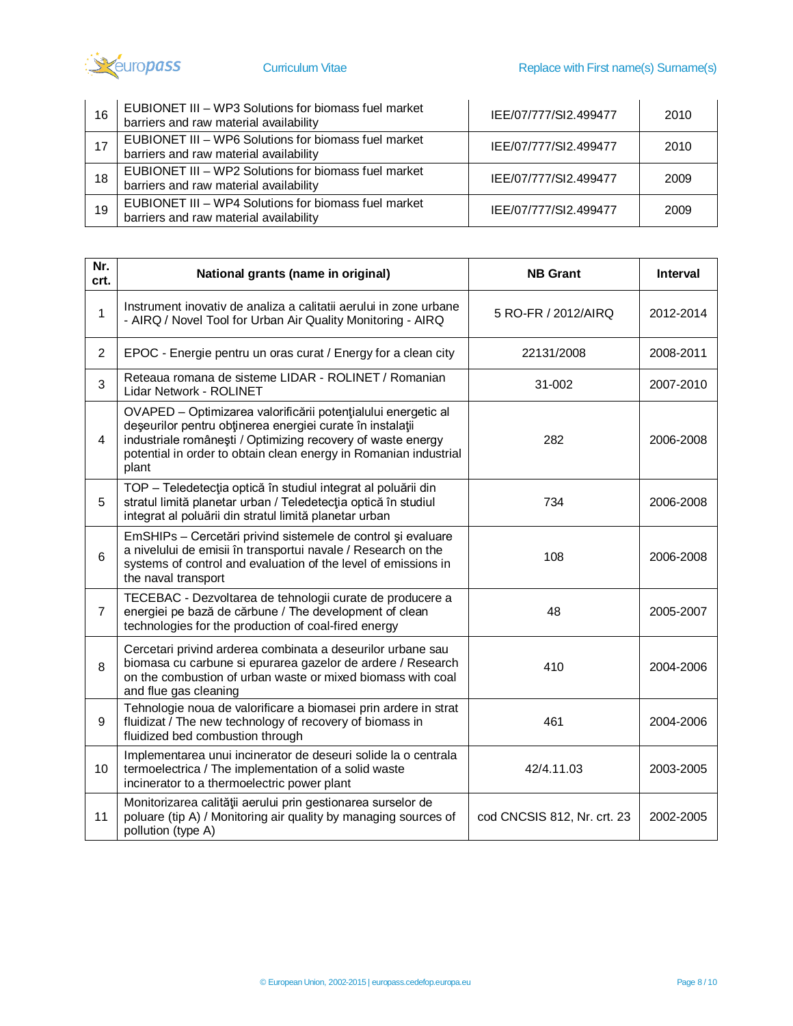

| 16 | EUBIONET III - WP3 Solutions for biomass fuel market<br>barriers and raw material availability | IEE/07/777/SI2.499477 | 2010 |
|----|------------------------------------------------------------------------------------------------|-----------------------|------|
|    | EUBIONET III - WP6 Solutions for biomass fuel market<br>barriers and raw material availability | IEE/07/777/SI2.499477 | 2010 |
| 18 | EUBIONET III - WP2 Solutions for biomass fuel market<br>barriers and raw material availability | IEE/07/777/SI2.499477 | 2009 |
| 19 | EUBIONET III - WP4 Solutions for biomass fuel market<br>barriers and raw material availability | IEE/07/777/SI2.499477 | 2009 |

| Nr.<br>crt.    | National grants (name in original)                                                                                                                                                                                                                                     | <b>NB Grant</b>             | <b>Interval</b> |
|----------------|------------------------------------------------------------------------------------------------------------------------------------------------------------------------------------------------------------------------------------------------------------------------|-----------------------------|-----------------|
| 1              | Instrument inovativ de analiza a calitatii aerului in zone urbane<br>- AIRQ / Novel Tool for Urban Air Quality Monitoring - AIRQ                                                                                                                                       | 5 RO-FR / 2012/AIRQ         | 2012-2014       |
| $\overline{2}$ | EPOC - Energie pentru un oras curat / Energy for a clean city                                                                                                                                                                                                          | 22131/2008                  | 2008-2011       |
| 3              | Reteaua romana de sisteme LIDAR - ROLINET / Romanian<br>Lidar Network - ROLINET                                                                                                                                                                                        | 31-002                      | 2007-2010       |
| 4              | OVAPED - Optimizarea valorificării potențialului energetic al<br>deșeurilor pentru obținerea energiei curate în instalații<br>industriale românești / Optimizing recovery of waste energy<br>potential in order to obtain clean energy in Romanian industrial<br>plant | 282                         | 2006-2008       |
| 5              | TOP - Teledetecția optică în studiul integrat al poluării din<br>stratul limită planetar urban / Teledetecția optică în studiul<br>integrat al poluării din stratul limită planetar urban                                                                              | 734                         | 2006-2008       |
| 6              | EmSHIPs - Cercetări privind sistemele de control și evaluare<br>a nivelului de emisii în transportui navale / Research on the<br>systems of control and evaluation of the level of emissions in<br>the naval transport                                                 | 108                         | 2006-2008       |
| $\overline{7}$ | TECEBAC - Dezvoltarea de tehnologii curate de producere a<br>energiei pe bază de cărbune / The development of clean<br>technologies for the production of coal-fired energy                                                                                            | 48                          | 2005-2007       |
| 8              | Cercetari privind arderea combinata a deseurilor urbane sau<br>biomasa cu carbune si epurarea gazelor de ardere / Research<br>on the combustion of urban waste or mixed biomass with coal<br>and flue gas cleaning                                                     | 410                         | 2004-2006       |
| 9              | Tehnologie noua de valorificare a biomasei prin ardere in strat<br>fluidizat / The new technology of recovery of biomass in<br>fluidized bed combustion through                                                                                                        | 461                         | 2004-2006       |
| 10             | Implementarea unui incinerator de deseuri solide la o centrala<br>termoelectrica / The implementation of a solid waste<br>incinerator to a thermoelectric power plant                                                                                                  | 42/4.11.03                  | 2003-2005       |
| 11             | Monitorizarea calității aerului prin gestionarea surselor de<br>poluare (tip A) / Monitoring air quality by managing sources of<br>pollution (type A)                                                                                                                  | cod CNCSIS 812, Nr. crt. 23 | 2002-2005       |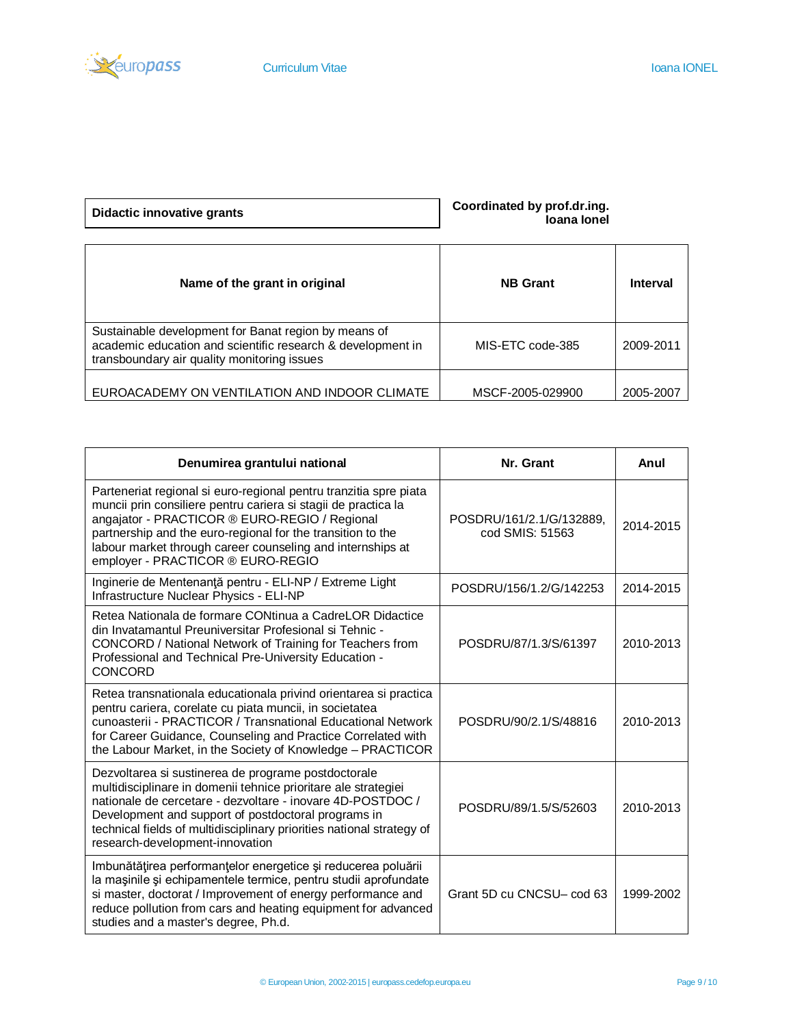

| <b>Didactic innovative grants</b> |  |
|-----------------------------------|--|
|-----------------------------------|--|

**Didactic innovative grants Coordinated by prof.dr.ing. Ioana Ionel**

| Name of the grant in original                                                                                                                                      | <b>NB Grant</b>  | Interval  |
|--------------------------------------------------------------------------------------------------------------------------------------------------------------------|------------------|-----------|
| Sustainable development for Banat region by means of<br>academic education and scientific research & development in<br>transboundary air quality monitoring issues | MIS-ETC code-385 | 2009-2011 |
| EUROACADEMY ON VENTILATION AND INDOOR CLIMATE                                                                                                                      | MSCF-2005-029900 | 2005-2007 |

| Denumirea grantului national                                                                                                                                                                                                                                                                                                                           | Nr. Grant                                   | Anul      |
|--------------------------------------------------------------------------------------------------------------------------------------------------------------------------------------------------------------------------------------------------------------------------------------------------------------------------------------------------------|---------------------------------------------|-----------|
| Parteneriat regional si euro-regional pentru tranzitia spre piata<br>muncii prin consiliere pentru cariera si stagii de practica la<br>angajator - PRACTICOR ® EURO-REGIO / Regional<br>partnership and the euro-regional for the transition to the<br>labour market through career counseling and internships at<br>employer - PRACTICOR ® EURO-REGIO | POSDRU/161/2.1/G/132889.<br>cod SMIS: 51563 | 2014-2015 |
| Inginerie de Mentenanță pentru - ELI-NP / Extreme Light<br>Infrastructure Nuclear Physics - ELI-NP                                                                                                                                                                                                                                                     | POSDRU/156/1.2/G/142253                     | 2014-2015 |
| Retea Nationala de formare CONtinua a CadreLOR Didactice<br>din Invatamantul Preuniversitar Profesional si Tehnic -<br>CONCORD / National Network of Training for Teachers from<br>Professional and Technical Pre-University Education -<br><b>CONCORD</b>                                                                                             | POSDRU/87/1.3/S/61397                       | 2010-2013 |
| Retea transnationala educationala privind orientarea si practica<br>pentru cariera, corelate cu piata muncii, in societatea<br>cunoasterii - PRACTICOR / Transnational Educational Network<br>for Career Guidance, Counseling and Practice Correlated with<br>the Labour Market, in the Society of Knowledge - PRACTICOR                               | POSDRU/90/2.1/S/48816                       | 2010-2013 |
| Dezvoltarea si sustinerea de programe postdoctorale<br>multidisciplinare in domenii tehnice prioritare ale strategiei<br>nationale de cercetare - dezvoltare - inovare 4D-POSTDOC /<br>Development and support of postdoctoral programs in<br>technical fields of multidisciplinary priorities national strategy of<br>research-development-innovation | POSDRU/89/1.5/S/52603                       | 2010-2013 |
| Imbunătățirea performanțelor energetice și reducerea poluării<br>la mașinile și echipamentele termice, pentru studii aprofundate<br>si master, doctorat / Improvement of energy performance and<br>reduce pollution from cars and heating equipment for advanced<br>studies and a master's degree, Ph.d.                                               | Grant 5D cu CNCSU- cod 63                   | 1999-2002 |